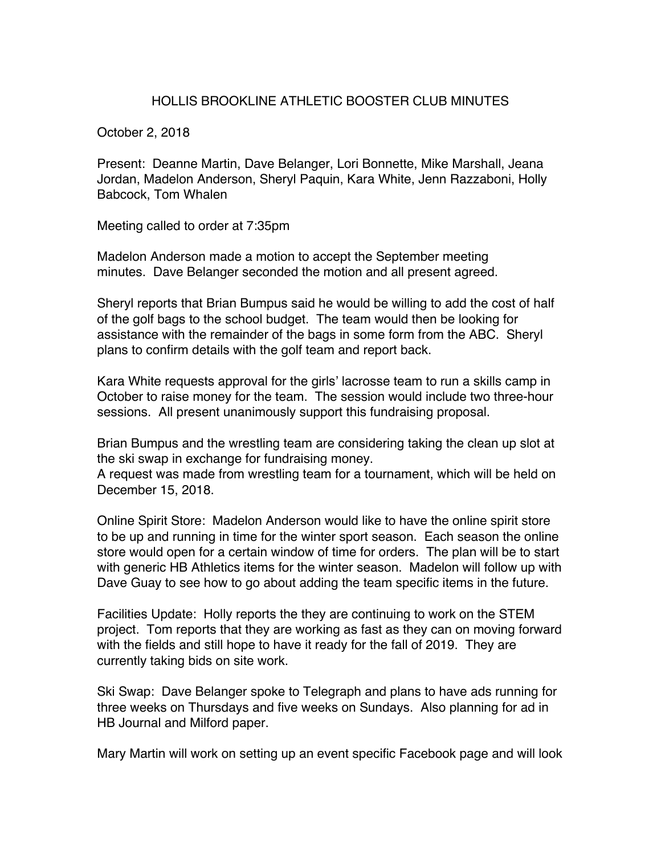## HOLLIS BROOKLINE ATHLETIC BOOSTER CLUB MINUTES

October 2, 2018

Present: Deanne Martin, Dave Belanger, Lori Bonnette, Mike Marshall, Jeana Jordan, Madelon Anderson, Sheryl Paquin, Kara White, Jenn Razzaboni, Holly Babcock, Tom Whalen

Meeting called to order at 7:35pm

Madelon Anderson made a motion to accept the September meeting minutes. Dave Belanger seconded the motion and all present agreed.

Sheryl reports that Brian Bumpus said he would be willing to add the cost of half of the golf bags to the school budget. The team would then be looking for assistance with the remainder of the bags in some form from the ABC. Sheryl plans to confirm details with the golf team and report back.

Kara White requests approval for the girls' lacrosse team to run a skills camp in October to raise money for the team. The session would include two three-hour sessions. All present unanimously support this fundraising proposal.

Brian Bumpus and the wrestling team are considering taking the clean up slot at the ski swap in exchange for fundraising money.

A request was made from wrestling team for a tournament, which will be held on December 15, 2018.

Online Spirit Store: Madelon Anderson would like to have the online spirit store to be up and running in time for the winter sport season. Each season the online store would open for a certain window of time for orders. The plan will be to start with generic HB Athletics items for the winter season. Madelon will follow up with Dave Guay to see how to go about adding the team specific items in the future.

Facilities Update: Holly reports the they are continuing to work on the STEM project. Tom reports that they are working as fast as they can on moving forward with the fields and still hope to have it ready for the fall of 2019. They are currently taking bids on site work.

Ski Swap: Dave Belanger spoke to Telegraph and plans to have ads running for three weeks on Thursdays and five weeks on Sundays. Also planning for ad in HB Journal and Milford paper.

Mary Martin will work on setting up an event specific Facebook page and will look